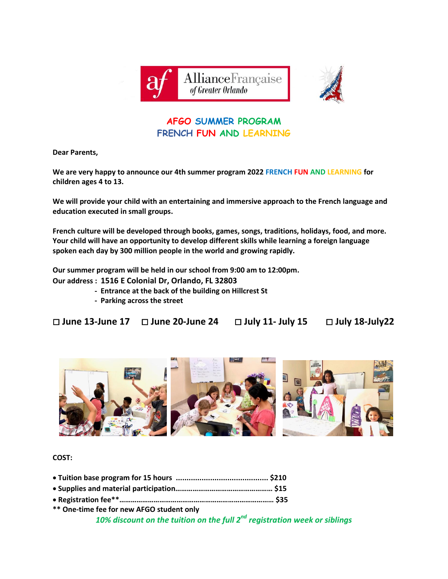



## **AFGO SUMMER PROGRAM FRENCH FUN AND LEARNING**

**Dear Parents,**

**We are very happy to announce our 4th summer program 2022 FRENCH FUN AND LEARNING for children ages 4 to 13.**

**We will provide your child with an entertaining and immersive approach to the French language and education executed in small groups.** 

**French culture will be developed through books, games, songs, traditions, holidays, food, and more. Your child will have an opportunity to develop different skills while learning a foreign language spoken each day by 300 million people in the world and growing rapidly.** 

**Our summer program will be held in our school from 9:00 am to 12:00pm.**

**Our address : 1516 E Colonial Dr, Orlando, FL 32803**

- **Entrance at the back of the building on Hillcrest St**
- **- Parking across the street**

**June 13-June 17 June 20-June 24 July 11- July 15 July 18-July22**



**COST:**

**\*\* One-time fee for new AFGO student only** *10% discount on the tuition on the full 2 nd registration week or siblings*